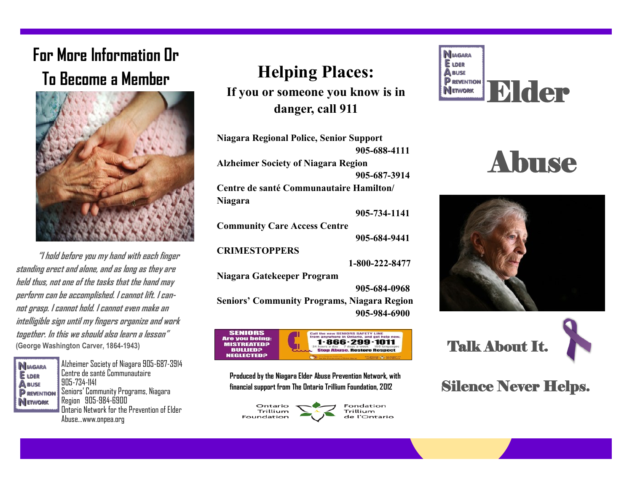# **For More Information Or**



 **"I hold before you my hand with each finger standing erect and alone, and as long as they are held thus, not one of the tasks that the hand may perform can be accomplished. I cannot lift. I cannot grasp. I cannot hold. I cannot even make an intelligible sign until my fingers organize and work together. In this we should also learn a lesson" (George Washington Carver, 1864-1943)**

**NIAGARA E** LDER **A** BUSE **P** REVENTION **NETWORK** 

Alzheimer Society of Niagara 905-687-3914 Centre de santé Communautaire 905-734-1141 Seniors' Community Programs, Niagara Region 905-984-6900 Ontario Network for the Prevention of Elder Abuse...www.onpea.org

### **Helping Places:**

**If you or someone you know is in danger, call 911**

**Niagara Regional Police, Senior Support 905-688-4111 Alzheimer Society of Niagara Region 905-687-3914 Centre de santé Communautaire Hamilton/ Niagara 905-734-1141 Community Care Access Centre 905-684-9441 CRIMESTOPPERS 1-800-222-8477 Niagara Gatekeeper Program 905-684-0968 Seniors' Community Programs, Niagara Region 905-984-6900**



**Produced by the Niagara Elder Abuse Prevention Network, with financial support from The Ontario Trillium Foundation, 2012**



**N**IAGARA **E** LDER To Become a Member<br>
If you or someone you know is in
ERENEWORK
IF THE CONTRACT CONTRACT CONTRACT CONTRACT CONTRACT CONTRACT CONTRACT CONTRACT CONTRACT CONTRACT CONTRACT CONTRACT CONTRACT CONTRACT CONTRACT CONTRACT CONTRACT

## Abuse





#### Silence Never Helps.